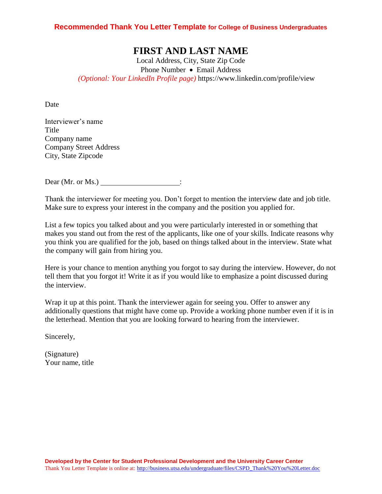### **Recommended Thank You Letter Template for College of Business Undergraduates**

# **FIRST AND LAST NAME**

Local Address, City, State Zip Code Phone Number • Email Address *(Optional: Your LinkedIn Profile page)* https://www.linkedin.com/profile/view

**Date** 

Interviewer's name Title Company name Company Street Address City, State Zipcode

Dear (Mr. or Ms.)  $\qquad \qquad$ :

Thank the interviewer for meeting you. Don't forget to mention the interview date and job title. Make sure to express your interest in the company and the position you applied for.

List a few topics you talked about and you were particularly interested in or something that makes you stand out from the rest of the applicants, like one of your skills. Indicate reasons why you think you are qualified for the job, based on things talked about in the interview. State what the company will gain from hiring you.

Here is your chance to mention anything you forgot to say during the interview. However, do not tell them that you forgot it! Write it as if you would like to emphasize a point discussed during the interview.

Wrap it up at this point. Thank the interviewer again for seeing you. Offer to answer any additionally questions that might have come up. Provide a working phone number even if it is in the letterhead. Mention that you are looking forward to hearing from the interviewer.

Sincerely,

(Signature) Your name, title